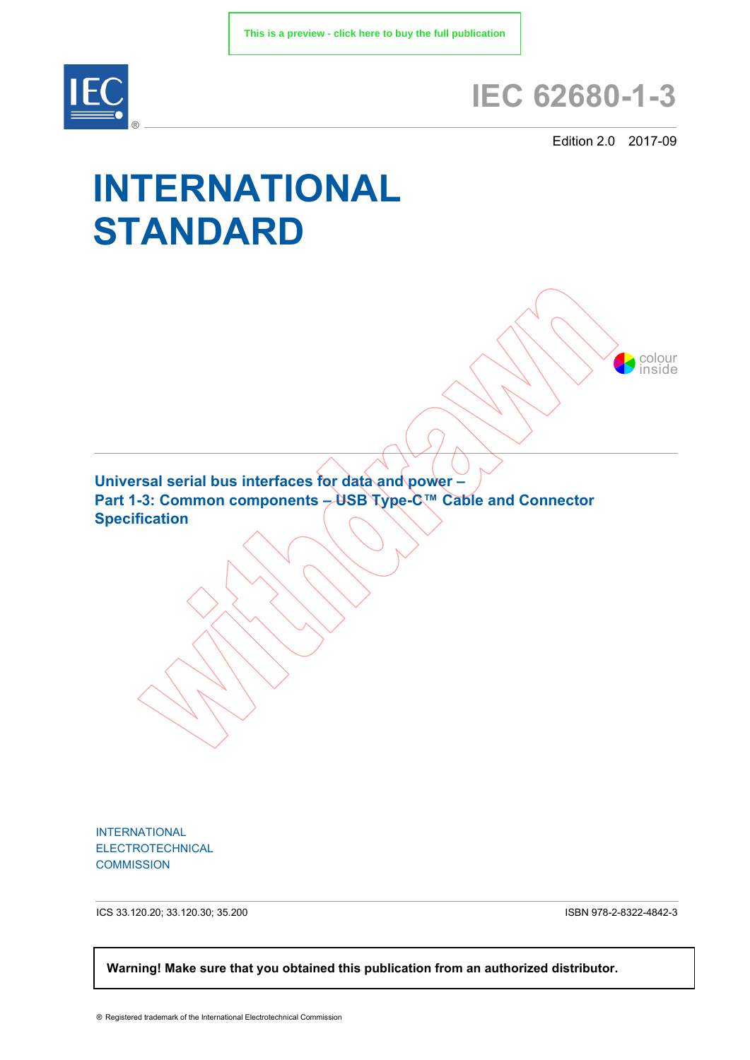

## **IEC 62680-1-3**

Edition 2.0 2017-09

colour inside

## **INTERNATIONAL STANDARD**

**Universal serial bus interfaces for data and power – Part 1-3: Common components – USB Type-C™ Cable and Connector Specification**

INTERNATIONAL ELECTROTECHNICAL **COMMISSION** 

ICS 33.120.20; 33.120.30; 35.200

ISBN 978-2-8322-4842-3

 **Warning! Make sure that you obtained this publication from an authorized distributor.**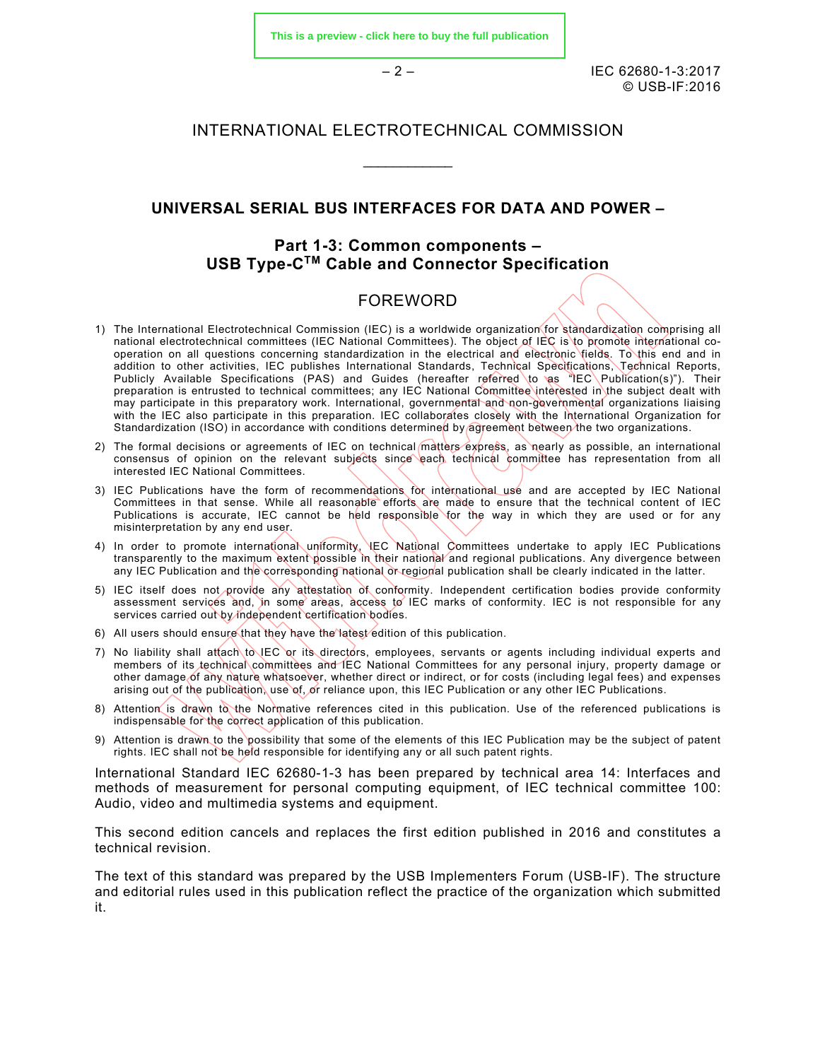**[This is a preview - click here to buy the full publication](https://webstore.iec.ch/publication/32071&preview)**

– 2 – IEC 62680-1-3:2017 © USB-IF:2016

## INTERNATIONAL ELECTROTECHNICAL COMMISSION

 $\mathcal{L}$  , we have the set of the set of the set of the set of the set of the set of the set of the set of the set of the set of the set of the set of the set of the set of the set of the set of the set of the set of the

## **UNIVERSAL SERIAL BUS INTERFACES FOR DATA AND POWER –**

## **Part 1-3: Common components – USB Type-CTM Cable and Connector Specification**

## FOREWORD

- 1) The International Electrotechnical Commission (IEC) is a worldwide organization for standardization comprising all national electrotechnical committees (IEC National Committees). The object of IEC is to promote international cooperation on all questions concerning standardization in the electrical and electronic fields. To this end and in addition to other activities, IEC publishes International Standards, Technical Specifications, Technical Reports, Publicly Available Specifications (PAS) and Guides (hereafter referred to as "IEC Publication(s)"). Their preparation is entrusted to technical committees; any IEC National Committee interested in the subject dealt with may participate in this preparatory work. International, governmental and non-governmental organizations liaising with the IEC also participate in this preparation. IEC collaborates closely with the International Organization for Standardization (ISO) in accordance with conditions determined by agreement between the two organizations.
- 2) The formal decisions or agreements of IEC on technical matters express, as nearly as possible, an international consensus of opinion on the relevant subjects since each technical committee has representation from all interested IEC National Committees.
- 3) IEC Publications have the form of recommendations for international use and are accepted by IEC National Committees in that sense. While all reasonable efforts are made to ensure that the technical content of IEC Publications is accurate, IEC cannot be held responsible for the way in which they are used or for any misinterpretation by any end user.
- 4) In order to promote international uniformity, IEC National Committees undertake to apply IEC Publications transparently to the maximum extent possible in their national and regional publications. Any divergence between any IEC Publication and the corresponding national or regional publication shall be clearly indicated in the latter.
- 5) IEC itself does not provide any attestation of conformity. Independent certification bodies provide conformity assessment services and, in some areas, access to IEC marks of conformity. IEC is not responsible for any services carried out by independent certification bodies.
- 6) All users should ensure that they have the latest edition of this publication.
- 7) No liability shall attach to IEC or its directors, employees, servants or agents including individual experts and members of its technical committees and IEC National Committees for any personal injury, property damage or other damage of any nature whatsoever, whether direct or indirect, or for costs (including legal fees) and expenses arising out of the publication, use of, or reliance upon, this IEC Publication or any other IEC Publications.
- 8) Attention is drawn to the Normative references cited in this publication. Use of the referenced publications is indispensable for the correct application of this publication.
- 9) Attention is drawn to the possibility that some of the elements of this IEC Publication may be the subject of patent rights. IEC shall not be held responsible for identifying any or all such patent rights.

International Standard IEC 62680-1-3 has been prepared by technical area 14: Interfaces and methods of measurement for personal computing equipment, of IEC technical committee 100: Audio, video and multimedia systems and equipment.

This second edition cancels and replaces the first edition published in 2016 and constitutes a technical revision.

The text of this standard was prepared by the USB Implementers Forum (USB-IF). The structure and editorial rules used in this publication reflect the practice of the organization which submitted it.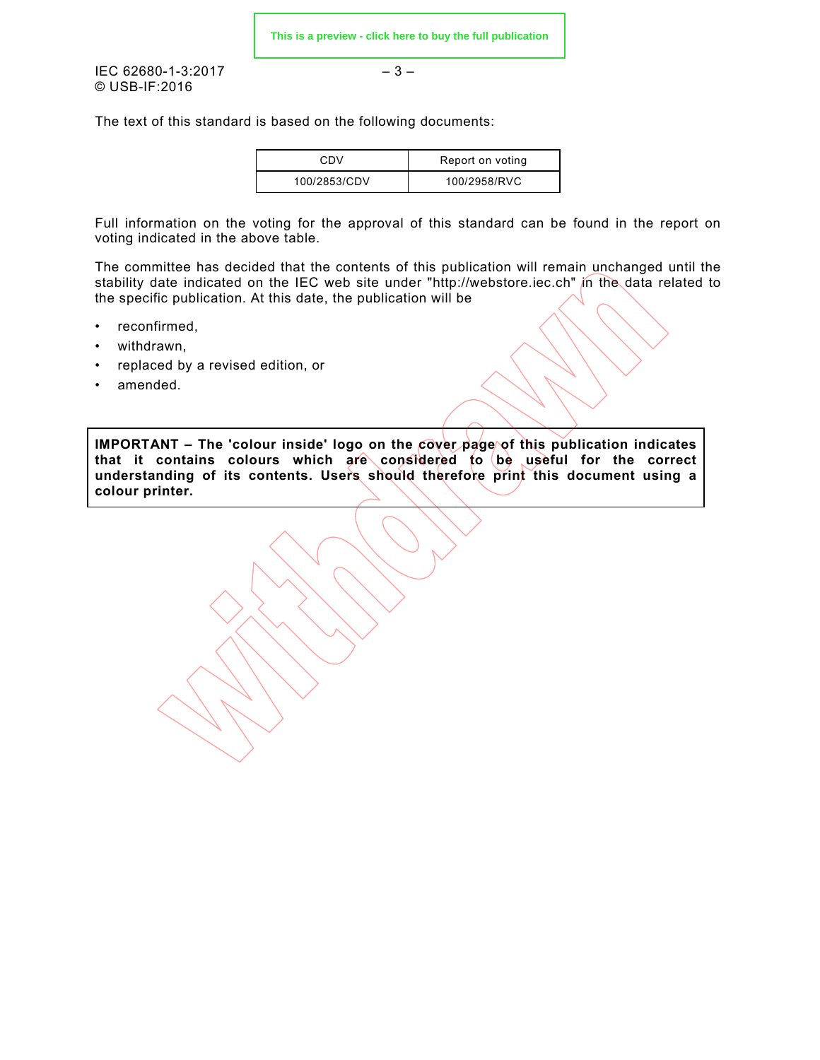**[This is a preview - click here to buy the full publication](https://webstore.iec.ch/publication/32071&preview)**

 $\text{IEC } 62680 - 1 - 3:2017$   $-3 -$ © USB-IF:2016

The text of this standard is based on the following documents:

| CDV          | Report on voting |
|--------------|------------------|
| 100/2853/CDV | 100/2958/RVC     |

Full information on the voting for the approval of this standard can be found in the report on voting indicated in the above table.

The committee has decided that the contents of this publication will remain unchanged until the stability date indicated on the IEC web site under "http://webstore.iec.ch" in the data related to the specific publication. At this date, the publication will be

- reconfirmed,
- withdrawn,
- replaced by a revised edition, or
- amended.

**IMPORTANT – The 'colour inside' logo on the cover page of this publication indicates that it contains colours which are considered to be useful for the correct understanding of its contents. Users should therefore print this document using a colour printer.**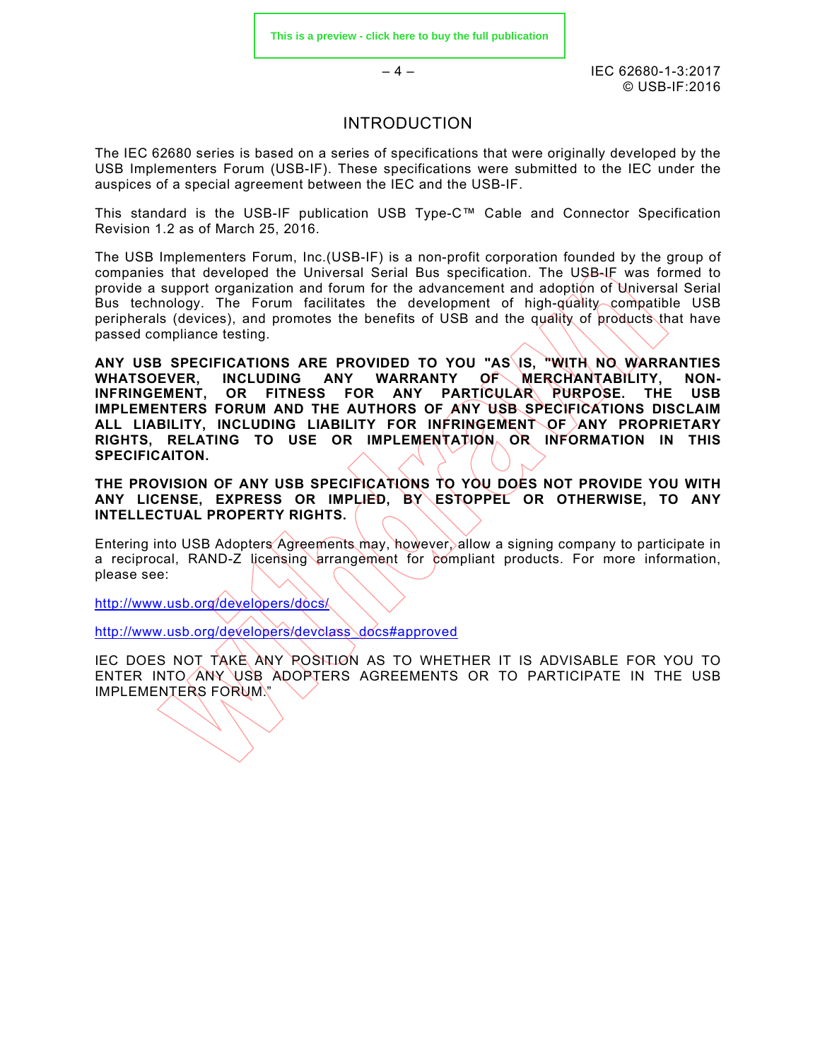$-4 -$  IEC 62680-1-3:2017 © USB-IF:2016

## INTRODUCTION

The IEC 62680 series is based on a series of specifications that were originally developed by the USB Implementers Forum (USB-IF). These specifications were submitted to the IEC under the auspices of a special agreement between the IEC and the USB-IF.

This standard is the USB-IF publication USB Type-C™ Cable and Connector Specification Revision 1.2 as of March 25, 2016.

The USB Implementers Forum, Inc.(USB-IF) is a non-profit corporation founded by the group of companies that developed the Universal Serial Bus specification. The USB-IF was formed to provide a support organization and forum for the advancement and adoption of Universal Serial Bus technology. The Forum facilitates the development of high-quality compatible USB peripherals (devices), and promotes the benefits of USB and the quality of products that have passed compliance testing.

**ANY USB SPECIFICATIONS ARE PROVIDED TO YOU "AS IS, "WITH NO WARRANTIES WHATSOEVER, INCLUDING ANY WARRANTY OF MERCHANTABILITY. NON-**WHATSOEVER, INCLUDING ANY WARRANTY OF MERCHANTABILITY,<br>INFRINGEMENT. OR FITNESS FOR ANY PARTICULAR RURPOSE. THE OR FITNESS FOR ANY PARTICULAR RURPOSE. THE USB **IMPLEMENTERS FORUM AND THE AUTHORS OF ANY USB SPECIFICATIONS DISCLAIM ALL LIABILITY, INCLUDING LIABILITY FOR INFRINGEMENT OF ANY PROPRIETARY RIGHTS, RELATING TO USE OR IMPLEMENTATION OR INFORMATION IN THIS SPECIFICAITON.**

**THE PROVISION OF ANY USB SPECIFICATIONS TO YOU DOES NOT PROVIDE YOU WITH ANY LICENSE, EXPRESS OR IMPLIED, BY ESTOPPEL OR OTHERWISE, TO ANY INTELLECTUAL PROPERTY RIGHTS.**

Entering into USB Adopters Agreements may, however, allow a signing company to participate in a reciprocal, RAND-Z licensing arrangement for compliant products. For more information, please see:

<http://www.usb.org/developers/docs/>

[http://www.usb.org/developers/devclass\\_docs#approved](http://www.usb.org/developers/devclass_docs#approved)

IEC DOES NOT TAKE ANY POSITION AS TO WHETHER IT IS ADVISABLE FOR YOU TO ENTER INTO ANY USB ADOPTERS AGREEMENTS OR TO PARTICIPATE IN THE USB IMPLEMENTERS FORUM."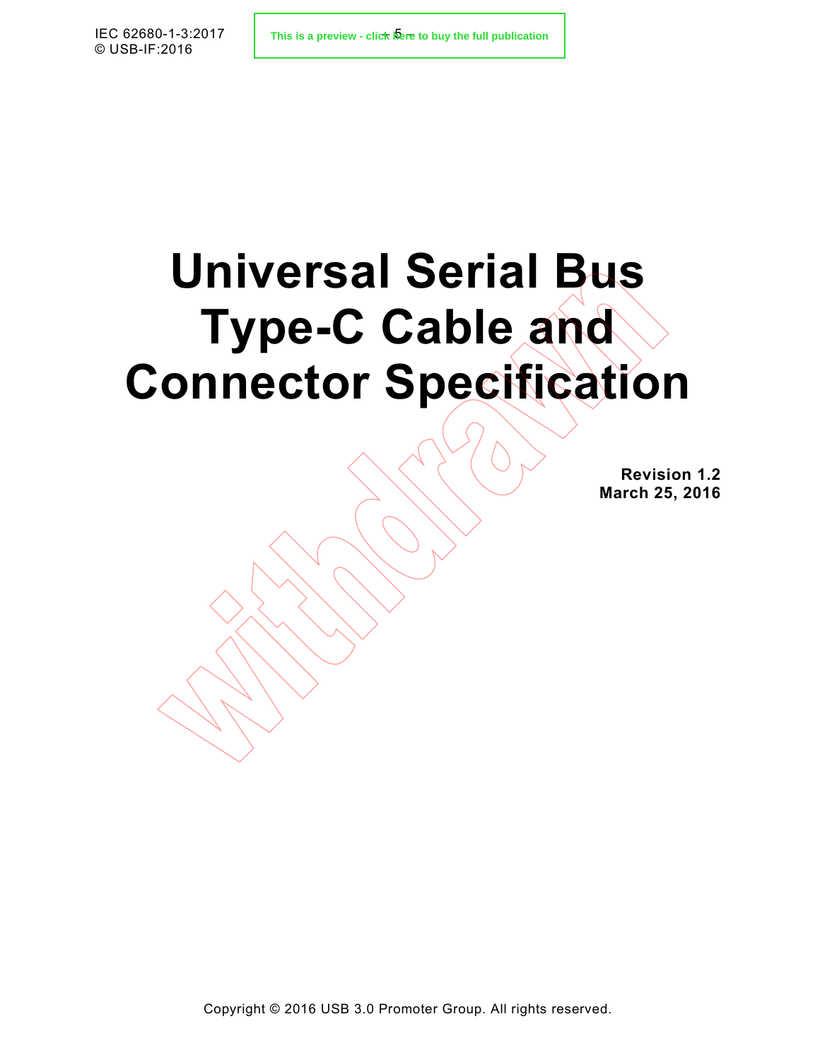# **Universal Serial Bus Type-C Cable and Connector Specification**

**Revision 1.2 March 25, 2016**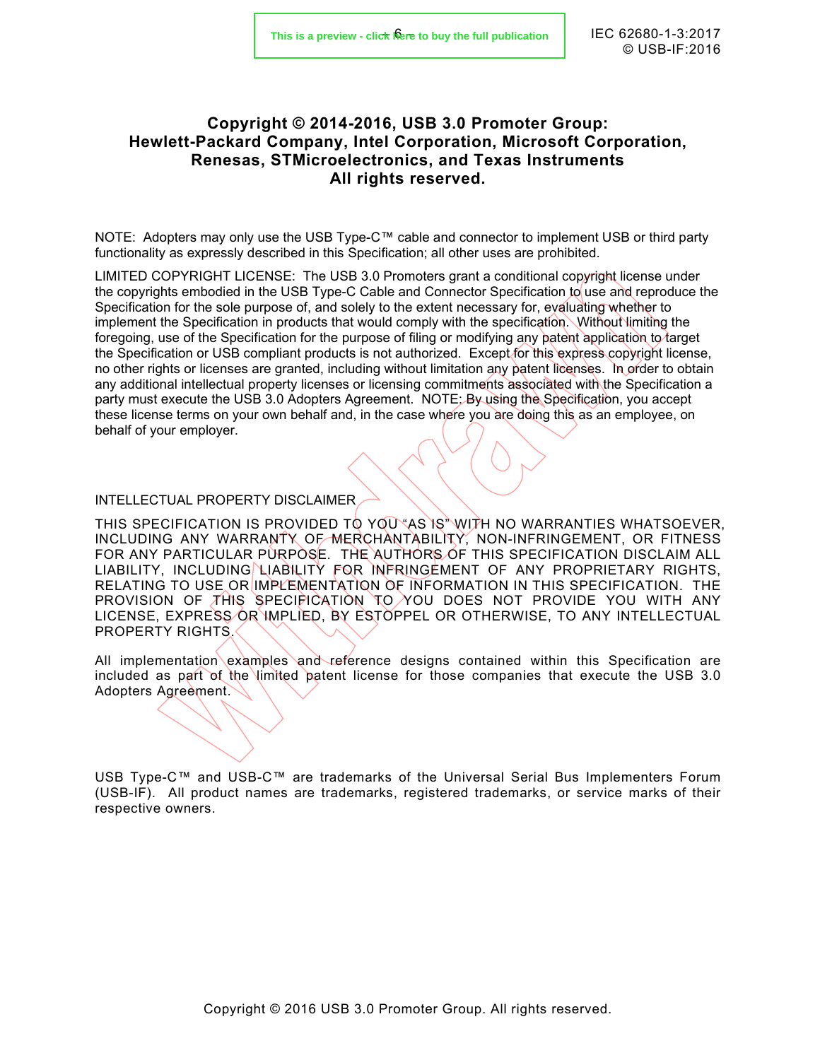## **Copyright © 2014-2016, USB 3.0 Promoter Group: Hewlett-Packard Company, Intel Corporation, Microsoft Corporation, Renesas, STMicroelectronics, and Texas Instruments All rights reserved.**

NOTE: Adopters may only use the USB Type-C™ cable and connector to implement USB or third party functionality as expressly described in this Specification; all other uses are prohibited.

LIMITED COPYRIGHT LICENSE: The USB 3.0 Promoters grant a conditional copyright license under the copyrights embodied in the USB Type-C Cable and Connector Specification to use and reproduce the Specification for the sole purpose of, and solely to the extent necessary for, evaluating whether to implement the Specification in products that would comply with the specification. Without limiting the foregoing, use of the Specification for the purpose of filing or modifying any patent application to target the Specification or USB compliant products is not authorized. Except for this express copyright license, no other rights or licenses are granted, including without limitation any patent licenses. In order to obtain any additional intellectual property licenses or licensing commitments associated with the Specification a party must execute the USB 3.0 Adopters Agreement. NOTE: By using the Specification, you accept these license terms on your own behalf and, in the case where you are doing this as an employee, on behalf of your employer.

#### INTELLECTUAL PROPERTY DISCLAIMER

THIS SPECIFICATION IS PROVIDED TO YOU AS IS WITH NO WARRANTIES WHATSOEVER, INCLUDING ANY WARRANTY OF MERCHANTABILITY, NON-INFRINGEMENT, OR FITNESS FOR ANY PARTICULAR PURPOSE. THE AUTHORS OF THIS SPECIFICATION DISCLAIM ALL LIABILITY, INCLUDING LIABILITY FOR INFRINGEMENT OF ANY PROPRIETARY RIGHTS, RELATING TO USE OR IMPLEMENTATION OF INFORMATION IN THIS SPECIFICATION. THE PROVISION OF THIS SPECIFICATION TO YOU DOES NOT PROVIDE YOU WITH ANY LICENSE, EXPRESS OR IMPLIED, BY ESTOPPEL OR OTHERWISE, TO ANY INTELLECTUAL PROPERTY RIGHTS.

All implementation examples and reference designs contained within this Specification are included as part of the limited patent license for those companies that execute the USB 3.0 Adopters Agreement.

USB Type-C™ and USB-C™ are trademarks of the Universal Serial Bus Implementers Forum (USB-IF). All product names are trademarks, registered trademarks, or service marks of their respective owners.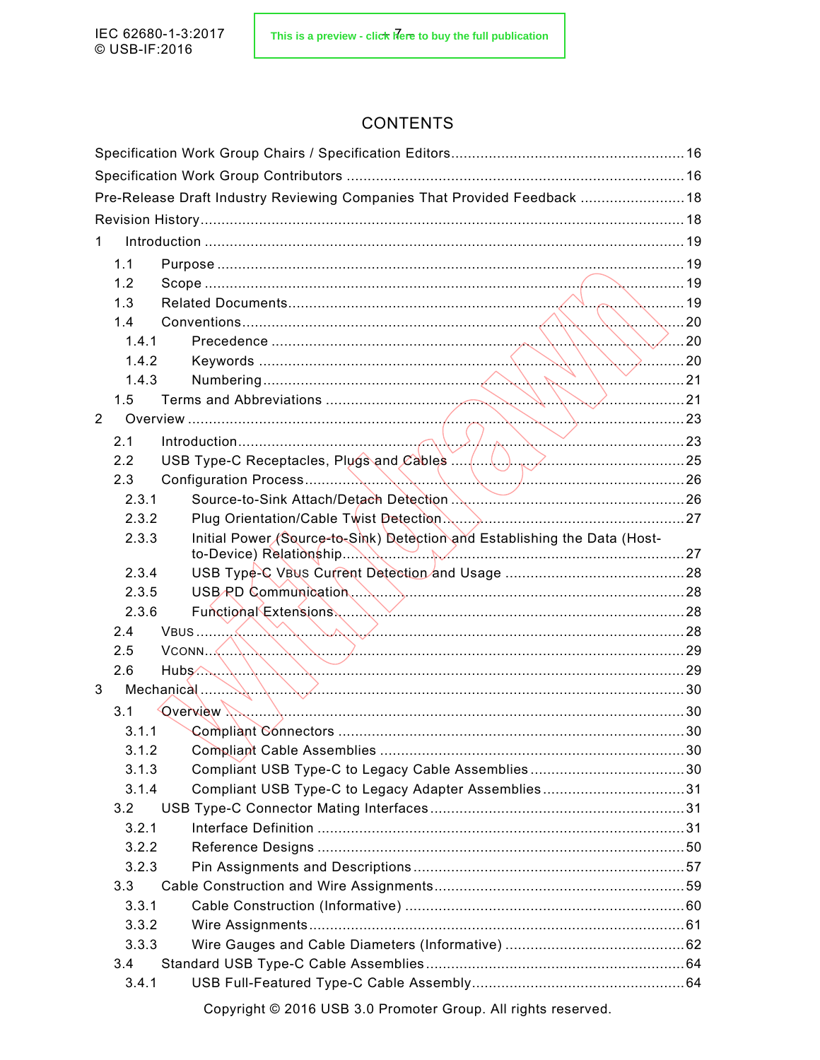## **CONTENTS**

|                |       | Pre-Release Draft Industry Reviewing Companies That Provided Feedback  18                                                                                                                                                                                                                                                                                                                                                                                                                                                         |  |
|----------------|-------|-----------------------------------------------------------------------------------------------------------------------------------------------------------------------------------------------------------------------------------------------------------------------------------------------------------------------------------------------------------------------------------------------------------------------------------------------------------------------------------------------------------------------------------|--|
|                |       |                                                                                                                                                                                                                                                                                                                                                                                                                                                                                                                                   |  |
| 1.             |       |                                                                                                                                                                                                                                                                                                                                                                                                                                                                                                                                   |  |
|                | 1.1   |                                                                                                                                                                                                                                                                                                                                                                                                                                                                                                                                   |  |
|                | 1.2   |                                                                                                                                                                                                                                                                                                                                                                                                                                                                                                                                   |  |
|                | 1.3   |                                                                                                                                                                                                                                                                                                                                                                                                                                                                                                                                   |  |
|                | 1.4   | $\ldots$ 20                                                                                                                                                                                                                                                                                                                                                                                                                                                                                                                       |  |
|                | 1.4.1 |                                                                                                                                                                                                                                                                                                                                                                                                                                                                                                                                   |  |
|                | 1.4.2 |                                                                                                                                                                                                                                                                                                                                                                                                                                                                                                                                   |  |
|                | 1.4.3 |                                                                                                                                                                                                                                                                                                                                                                                                                                                                                                                                   |  |
|                | 1.5   |                                                                                                                                                                                                                                                                                                                                                                                                                                                                                                                                   |  |
| $\overline{2}$ |       |                                                                                                                                                                                                                                                                                                                                                                                                                                                                                                                                   |  |
|                | 2.1   |                                                                                                                                                                                                                                                                                                                                                                                                                                                                                                                                   |  |
|                | 2.2   |                                                                                                                                                                                                                                                                                                                                                                                                                                                                                                                                   |  |
|                | 2.3   |                                                                                                                                                                                                                                                                                                                                                                                                                                                                                                                                   |  |
|                | 2.3.1 |                                                                                                                                                                                                                                                                                                                                                                                                                                                                                                                                   |  |
|                | 2.3.2 |                                                                                                                                                                                                                                                                                                                                                                                                                                                                                                                                   |  |
|                | 2.3.3 | Initial Power (Source-to-Sink) Detection and Establishing the Data (Host-                                                                                                                                                                                                                                                                                                                                                                                                                                                         |  |
|                | 2.3.4 |                                                                                                                                                                                                                                                                                                                                                                                                                                                                                                                                   |  |
|                | 2.3.5 |                                                                                                                                                                                                                                                                                                                                                                                                                                                                                                                                   |  |
|                | 2.3.6 |                                                                                                                                                                                                                                                                                                                                                                                                                                                                                                                                   |  |
|                | 2.4   |                                                                                                                                                                                                                                                                                                                                                                                                                                                                                                                                   |  |
|                | 2.5   |                                                                                                                                                                                                                                                                                                                                                                                                                                                                                                                                   |  |
|                | 2.6   | $Hubs \wedge \ldots \wedge \ldots \wedge \ldots \wedge \ldots \wedge \ldots \wedge \ldots \wedge \ldots \wedge \ldots \wedge \ldots \wedge \ldots \wedge \ldots \wedge \ldots \wedge \ldots \wedge \ldots \wedge \ldots \wedge \ldots \wedge \ldots \wedge \ldots \wedge \ldots \wedge \ldots \wedge \ldots \wedge \ldots \wedge \ldots \wedge \ldots \wedge \ldots \wedge \ldots \wedge \ldots \wedge \ldots \wedge \ldots \wedge \ldots \wedge \ldots \wedge \ldots \wedge \ldots \wedge \ldots \wedge \ldots \wedge \ldots \w$ |  |
| 3              |       | Mechanical 30                                                                                                                                                                                                                                                                                                                                                                                                                                                                                                                     |  |
|                | 3.1   |                                                                                                                                                                                                                                                                                                                                                                                                                                                                                                                                   |  |
|                | 3.1.1 |                                                                                                                                                                                                                                                                                                                                                                                                                                                                                                                                   |  |
|                | 3.1.2 |                                                                                                                                                                                                                                                                                                                                                                                                                                                                                                                                   |  |
|                | 3.1.3 |                                                                                                                                                                                                                                                                                                                                                                                                                                                                                                                                   |  |
|                | 3.1.4 | Compliant USB Type-C to Legacy Adapter Assemblies31                                                                                                                                                                                                                                                                                                                                                                                                                                                                               |  |
|                | 3.2   |                                                                                                                                                                                                                                                                                                                                                                                                                                                                                                                                   |  |
|                | 3.2.1 |                                                                                                                                                                                                                                                                                                                                                                                                                                                                                                                                   |  |
|                | 3.2.2 |                                                                                                                                                                                                                                                                                                                                                                                                                                                                                                                                   |  |
|                | 3.2.3 |                                                                                                                                                                                                                                                                                                                                                                                                                                                                                                                                   |  |
|                | 3.3   |                                                                                                                                                                                                                                                                                                                                                                                                                                                                                                                                   |  |
|                | 3.3.1 |                                                                                                                                                                                                                                                                                                                                                                                                                                                                                                                                   |  |
|                | 3.3.2 |                                                                                                                                                                                                                                                                                                                                                                                                                                                                                                                                   |  |
|                | 3.3.3 |                                                                                                                                                                                                                                                                                                                                                                                                                                                                                                                                   |  |
|                | 3.4   |                                                                                                                                                                                                                                                                                                                                                                                                                                                                                                                                   |  |
|                | 3.4.1 |                                                                                                                                                                                                                                                                                                                                                                                                                                                                                                                                   |  |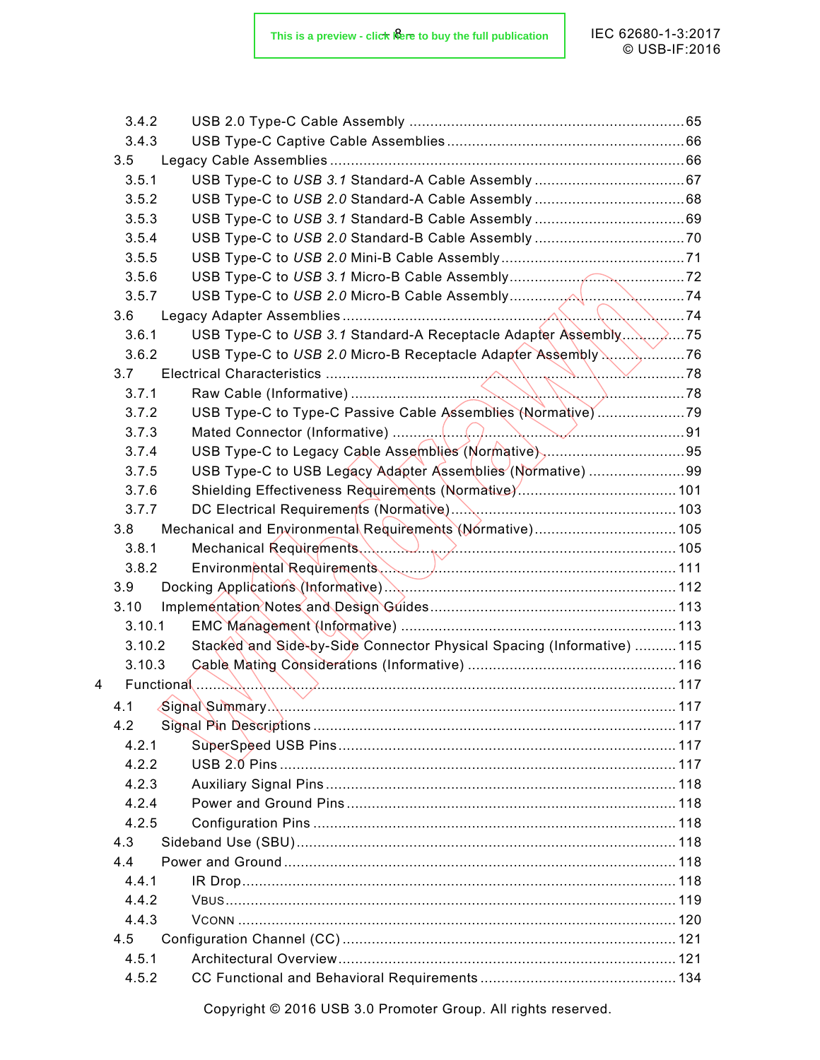| 3.4.2  |                                                                        |  |
|--------|------------------------------------------------------------------------|--|
| 3.4.3  |                                                                        |  |
| 3.5    |                                                                        |  |
| 3.5.1  |                                                                        |  |
| 3.5.2  |                                                                        |  |
| 3.5.3  |                                                                        |  |
| 3.5.4  |                                                                        |  |
| 3.5.5  |                                                                        |  |
| 3.5.6  |                                                                        |  |
| 3.5.7  |                                                                        |  |
| 3.6    |                                                                        |  |
| 3.6.1  | USB Type-C to USB 3.1 Standard-A Receptacle Adapter Assembly75         |  |
| 3.6.2  | USB Type-C to USB 2.0 Micro-B Receptacle Adapter Assembly \\76         |  |
| 3.7    |                                                                        |  |
| 3.7.1  |                                                                        |  |
| 3.7.2  | USB Type-C to Type-C Passive Cable Assemblies (Normative)79            |  |
| 3.7.3  |                                                                        |  |
| 3.7.4  |                                                                        |  |
| 3.7.5  | USB Type-C to USB Legacy Adapter Assemblies (Normative) 99             |  |
| 3.7.6  |                                                                        |  |
| 3.7.7  |                                                                        |  |
| 3.8    | Mechanical and Environmental Requirements (Normative) 105              |  |
| 3.8.1  | Mechanical Requirements (Annual Accommunication of 105                 |  |
| 3.8.2  |                                                                        |  |
| 3.9    |                                                                        |  |
| 3.10   |                                                                        |  |
| 3.10.1 |                                                                        |  |
| 3.10.2 | Stacked and Side-by-Side Connector Physical Spacing (Informative)  115 |  |
| 3.10.3 |                                                                        |  |
| 4      | Functional                                                             |  |
| 4.1    |                                                                        |  |
| 4.2    |                                                                        |  |
| 4.2.1  |                                                                        |  |
| 4.2.2  |                                                                        |  |
| 4.2.3  |                                                                        |  |
| 4.2.4  |                                                                        |  |
| 4.2.5  |                                                                        |  |
| 4.3    |                                                                        |  |
| 4.4    |                                                                        |  |
| 4.4.1  |                                                                        |  |
| 4.4.2  |                                                                        |  |
| 4.4.3  |                                                                        |  |
| 4.5    |                                                                        |  |
| 4.5.1  |                                                                        |  |
| 4.5.2  |                                                                        |  |
|        |                                                                        |  |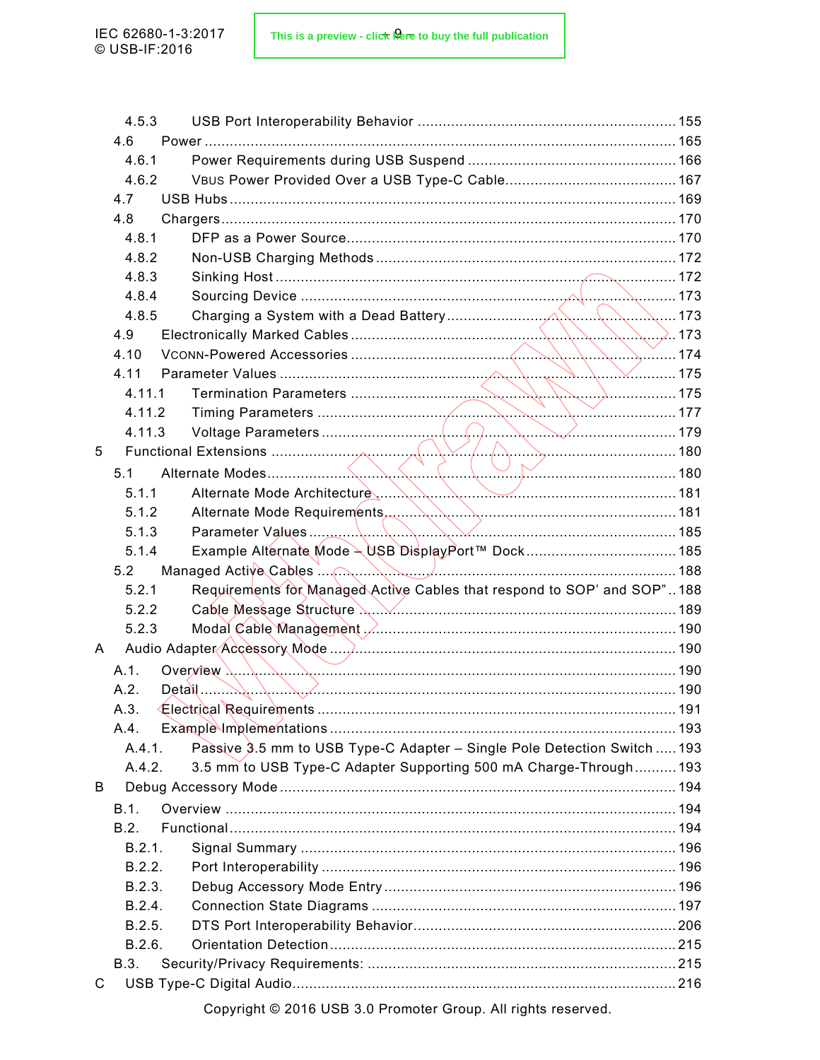|   | 4.5.3  |                                                                                         |  |
|---|--------|-----------------------------------------------------------------------------------------|--|
|   | 4.6    |                                                                                         |  |
|   | 4.6.1  |                                                                                         |  |
|   | 4.6.2  |                                                                                         |  |
|   | 4.7    |                                                                                         |  |
|   | 4.8    |                                                                                         |  |
|   | 4.8.1  |                                                                                         |  |
|   | 4.8.2  |                                                                                         |  |
|   | 4.8.3  |                                                                                         |  |
|   | 4.8.4  |                                                                                         |  |
|   | 4.8.5  |                                                                                         |  |
|   | 4.9    |                                                                                         |  |
|   | 4.10   |                                                                                         |  |
|   | 4.11   |                                                                                         |  |
|   | 4.11.1 |                                                                                         |  |
|   | 4.11.2 |                                                                                         |  |
|   | 4.11.3 |                                                                                         |  |
| 5 |        |                                                                                         |  |
|   | 5.1    |                                                                                         |  |
|   | 5.1.1  | Alternate Mode Architecture 181                                                         |  |
|   | 5.1.2  |                                                                                         |  |
|   | 5.1.3  |                                                                                         |  |
|   | 5.1.4  |                                                                                         |  |
|   | 5.2    |                                                                                         |  |
|   | 5.2.1  | Requirements for Managed Active Cables that respond to SOP' and SOP"188                 |  |
|   | 5.2.2  |                                                                                         |  |
|   | 5.2.3  | Modal Cable Management / Manuscription and Cable Modal Cable Management / Manuscription |  |
| A |        |                                                                                         |  |
|   | A.1.   |                                                                                         |  |
|   | A.2.   |                                                                                         |  |
|   | A.3.   |                                                                                         |  |
|   | A.4.   |                                                                                         |  |
|   | A.4.1. | Passive 3.5 mm to USB Type-C Adapter - Single Pole Detection Switch  193                |  |
|   | A.4.2. | 3.5 mm to USB Type-C Adapter Supporting 500 mA Charge-Through 193                       |  |
| B |        |                                                                                         |  |
|   | B.1.   |                                                                                         |  |
|   | B.2.   |                                                                                         |  |
|   | B.2.1. |                                                                                         |  |
|   | B.2.2. |                                                                                         |  |
|   | B.2.3. |                                                                                         |  |
|   | B.2.4. |                                                                                         |  |
|   | B.2.5. |                                                                                         |  |
|   | B.2.6. |                                                                                         |  |
|   | B.3.   |                                                                                         |  |
| C |        |                                                                                         |  |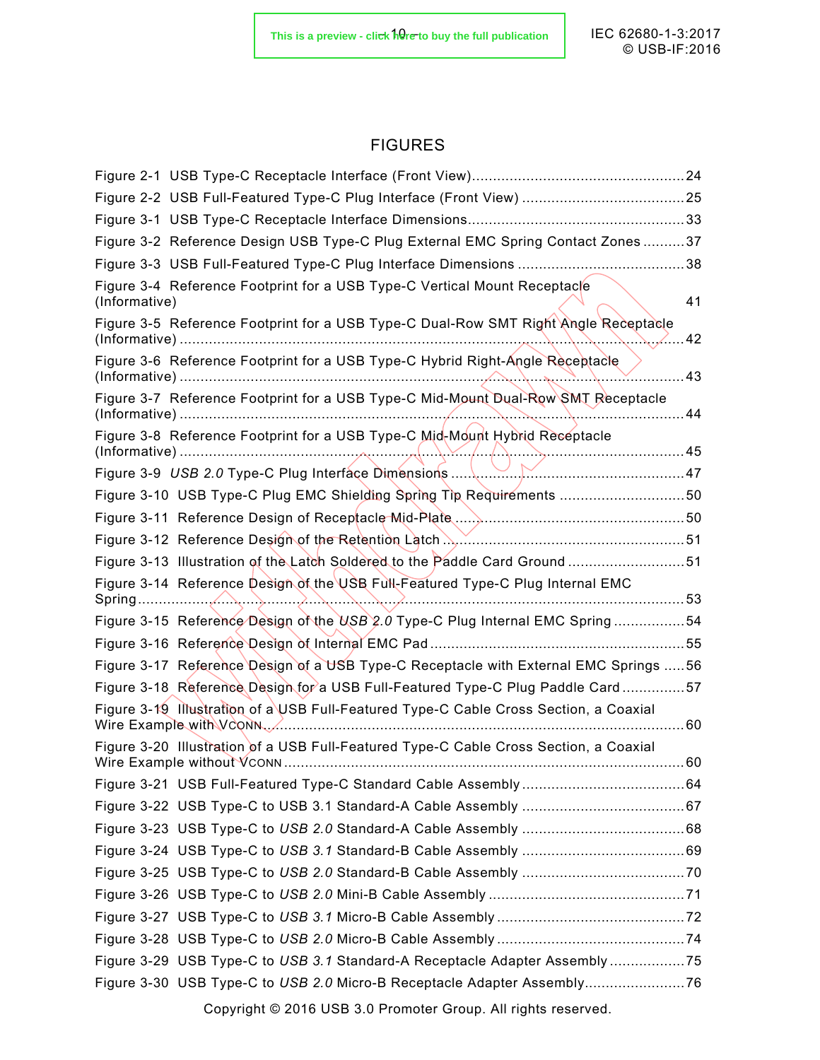## FIGURES

| Figure 3-2 Reference Design USB Type-C Plug External EMC Spring Contact Zones37                                                                                                                                                                                                                                              |      |
|------------------------------------------------------------------------------------------------------------------------------------------------------------------------------------------------------------------------------------------------------------------------------------------------------------------------------|------|
|                                                                                                                                                                                                                                                                                                                              |      |
| Figure 3-4 Reference Footprint for a USB Type-C Vertical Mount Receptacle<br>(Informative)                                                                                                                                                                                                                                   | 41   |
| Figure 3-5 Reference Footprint for a USB Type-C Dual-Row SMT Right Angle Receptacle                                                                                                                                                                                                                                          | . 42 |
| Figure 3-6 Reference Footprint for a USB Type-C Hybrid Right-Angle Receptacle                                                                                                                                                                                                                                                | 43   |
| Figure 3-7 Reference Footprint for a USB Type-C Mid-Mount Dual-Row SMT Receptacle                                                                                                                                                                                                                                            | 44   |
| Figure 3-8 Reference Footprint for a USB Type-C Mid-Mount Hybrid Receptacle                                                                                                                                                                                                                                                  |      |
|                                                                                                                                                                                                                                                                                                                              |      |
| Figure 3-10 USB Type-C Plug EMC Shielding Spring Tip Requirements 50                                                                                                                                                                                                                                                         |      |
|                                                                                                                                                                                                                                                                                                                              |      |
| Figure 3-12 Reference Design of the Retention Latch Marting Communication and 51                                                                                                                                                                                                                                             |      |
| Figure 3-13 Illustration of the Latch Soldered to the Paddle Card Ground 51                                                                                                                                                                                                                                                  |      |
| Figure 3-14 Reference Design of the USB Full-Featured Type-C Plug Internal EMC                                                                                                                                                                                                                                               |      |
| Figure 3-15 Reference Design of the USB 2.0 Type-C Plug Internal EMC Spring 54                                                                                                                                                                                                                                               |      |
|                                                                                                                                                                                                                                                                                                                              |      |
| Figure 3-17 Reference Design of a USB Type-C Receptacle with External EMC Springs  56                                                                                                                                                                                                                                        |      |
| Figure 3-18 Reference Design for a USB Full-Featured Type-C Plug Paddle Card 57                                                                                                                                                                                                                                              |      |
| Figure 3-19 Illustration of a USB Full-Featured Type-C Cable Cross Section, a Coaxial<br>Wire Example with VCONN <u>Communication</u> with the window with the window with the window with the window with the window with the window with the window with the window with the window with the window with the window window | 60   |
| Figure 3-20 Illustration of a USB Full-Featured Type-C Cable Cross Section, a Coaxial<br>Wire Example without VCONN                                                                                                                                                                                                          | 60   |
|                                                                                                                                                                                                                                                                                                                              |      |
|                                                                                                                                                                                                                                                                                                                              |      |
|                                                                                                                                                                                                                                                                                                                              |      |
|                                                                                                                                                                                                                                                                                                                              |      |
|                                                                                                                                                                                                                                                                                                                              |      |
|                                                                                                                                                                                                                                                                                                                              |      |
|                                                                                                                                                                                                                                                                                                                              |      |
|                                                                                                                                                                                                                                                                                                                              |      |
| Figure 3-29 USB Type-C to USB 3.1 Standard-A Receptacle Adapter Assembly 75                                                                                                                                                                                                                                                  |      |
|                                                                                                                                                                                                                                                                                                                              |      |
| Copyright © 2016 USB 3.0 Promoter Group. All rights reserved.                                                                                                                                                                                                                                                                |      |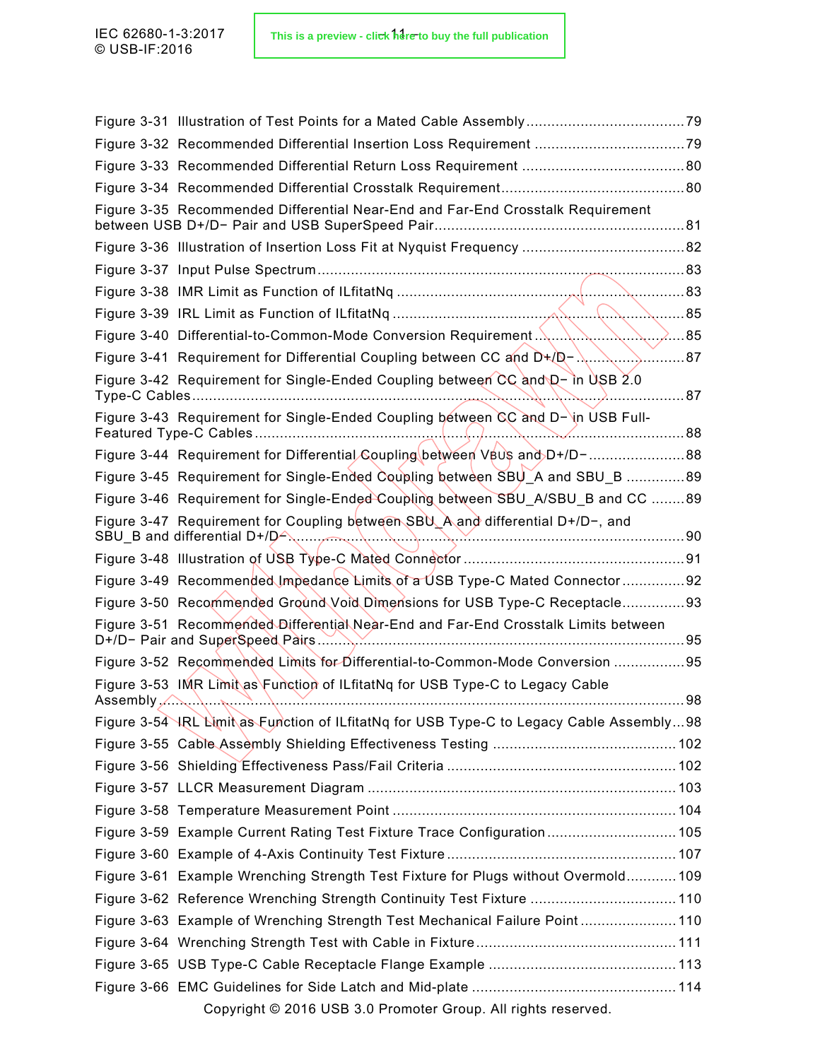| Figure 3-32 Recommended Differential Insertion Loss Requirement 79                          |      |
|---------------------------------------------------------------------------------------------|------|
|                                                                                             |      |
|                                                                                             |      |
| Figure 3-35 Recommended Differential Near-End and Far-End Crosstalk Requirement             |      |
|                                                                                             |      |
|                                                                                             |      |
|                                                                                             |      |
|                                                                                             | . 85 |
|                                                                                             |      |
| Figure 3-41 Requirement for Differential Coupling between CC and $D+(D-\dots)$<br>$\sum$ 87 |      |
| Figure 3-42 Requirement for Single-Ended Coupling between CC and D- in USB 2.0              | . 87 |
| Figure 3-43 Requirement for Single-Ended Coupling between CC and D- in USB Full-            |      |
|                                                                                             |      |
| Figure 3-44 Requirement for Differential Coupling between VBUs and D+/D-88                  |      |
| Figure 3-45 Requirement for Single-Ended Coupling between SBU A and SBU B 89                |      |
| Figure 3-46 Requirement for Single-Ended Coupling between SBU_A/SBU_B and CC 89             |      |
| Figure 3-47 Requirement for Coupling between SBU A and differential D+/D-, and              |      |
|                                                                                             |      |
| Figure 3-49 Recommended Impedance Limits of a USB Type-C Mated Connector 92                 |      |
| Figure 3-50 Recommended Ground Void Dimensions for USB Type-C Receptacle93                  |      |
| Figure 3-51 Recommended Differential Near-End and Far-End Crosstalk Limits between          |      |
| Figure 3-52 Recommended Limits for Differential-to-Common-Mode Conversion 95                |      |
| Figure 3-53 IMR Limit as Function of ILfitatNq for USB Type-C to Legacy Cable               |      |
| Assembly $\left\langle \ldots \right\rangle$                                                | 98   |
| Figure 3-54 HRL Limit as Function of ILfitatNq for USB Type-C to Legacy Cable Assembly98    |      |
|                                                                                             |      |
|                                                                                             |      |
|                                                                                             |      |
|                                                                                             |      |
| Figure 3-59 Example Current Rating Test Fixture Trace Configuration 105                     |      |
|                                                                                             |      |
| Figure 3-61 Example Wrenching Strength Test Fixture for Plugs without Overmold 109          |      |
| Figure 3-62 Reference Wrenching Strength Continuity Test Fixture  110                       |      |
| Figure 3-63 Example of Wrenching Strength Test Mechanical Failure Point 110                 |      |
|                                                                                             |      |
|                                                                                             |      |
|                                                                                             |      |
| Copyright © 2016 USB 3.0 Promoter Group. All rights reserved.                               |      |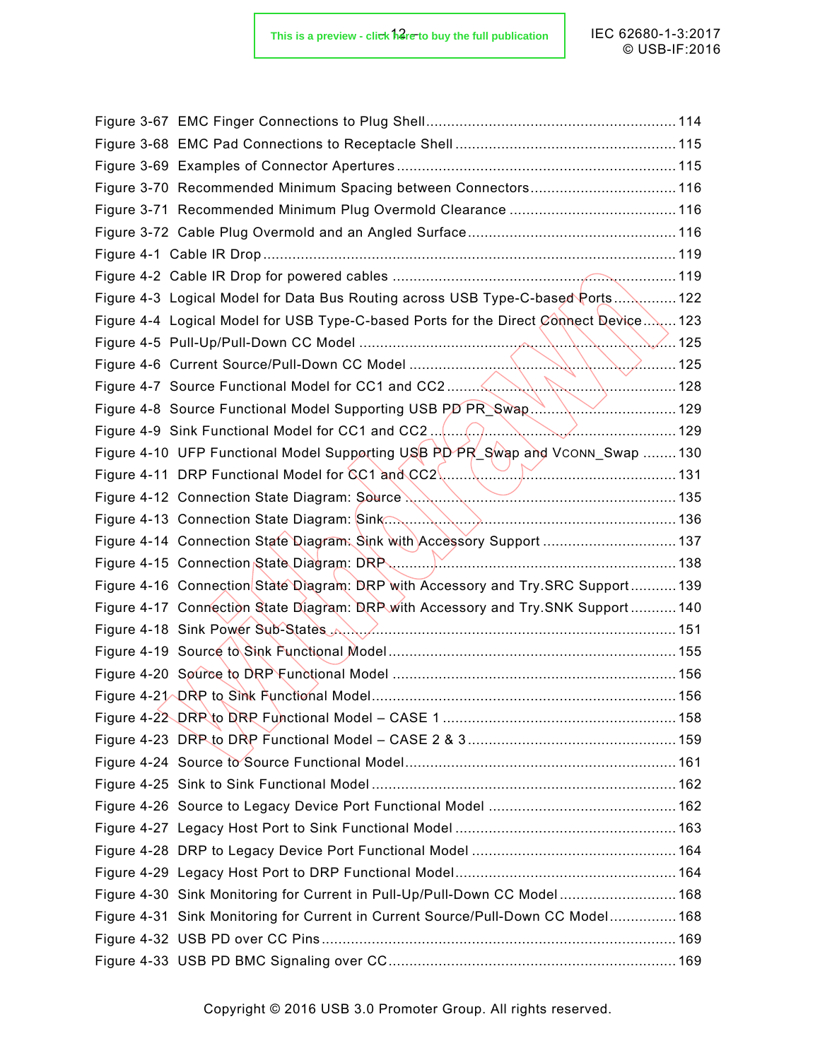| Figure 3-70 Recommended Minimum Spacing between Connectors 116                       |  |
|--------------------------------------------------------------------------------------|--|
|                                                                                      |  |
|                                                                                      |  |
|                                                                                      |  |
|                                                                                      |  |
| Figure 4-3 Logical Model for Data Bus Routing across USB Type-C-based Ports 122      |  |
| Figure 4-4 Logical Model for USB Type-C-based Ports for the Direct Connect Device123 |  |
| $\sqrt{125}$                                                                         |  |
|                                                                                      |  |
|                                                                                      |  |
|                                                                                      |  |
| $\sim$ 129<br>Figure 4-9 Sink Functional Model for CC1 and CC2                       |  |
| Figure 4-10 UFP Functional Model Supporting USB PD PR Swap and VCONN Swap 130        |  |
|                                                                                      |  |
|                                                                                      |  |
|                                                                                      |  |
| Figure 4-14 Connection State Diagram: Sink with Accessory Support  137               |  |
|                                                                                      |  |
| Figure 4-16 Connection State Diagram: DRP with Accessory and Try.SRC Support 139     |  |
| Figure 4-17 Connection State Diagram: DRP with Accessory and Try.SNK Support 140     |  |
| Figure 4-18 Sink Power Sub-States A. A. Ammun. Manuscription and 151                 |  |
|                                                                                      |  |
|                                                                                      |  |
|                                                                                      |  |
|                                                                                      |  |
|                                                                                      |  |
|                                                                                      |  |
|                                                                                      |  |
|                                                                                      |  |
|                                                                                      |  |
|                                                                                      |  |
|                                                                                      |  |
|                                                                                      |  |
| Figure 4-30 Sink Monitoring for Current in Pull-Up/Pull-Down CC Model 168            |  |
| Figure 4-31 Sink Monitoring for Current in Current Source/Pull-Down CC Model 168     |  |
|                                                                                      |  |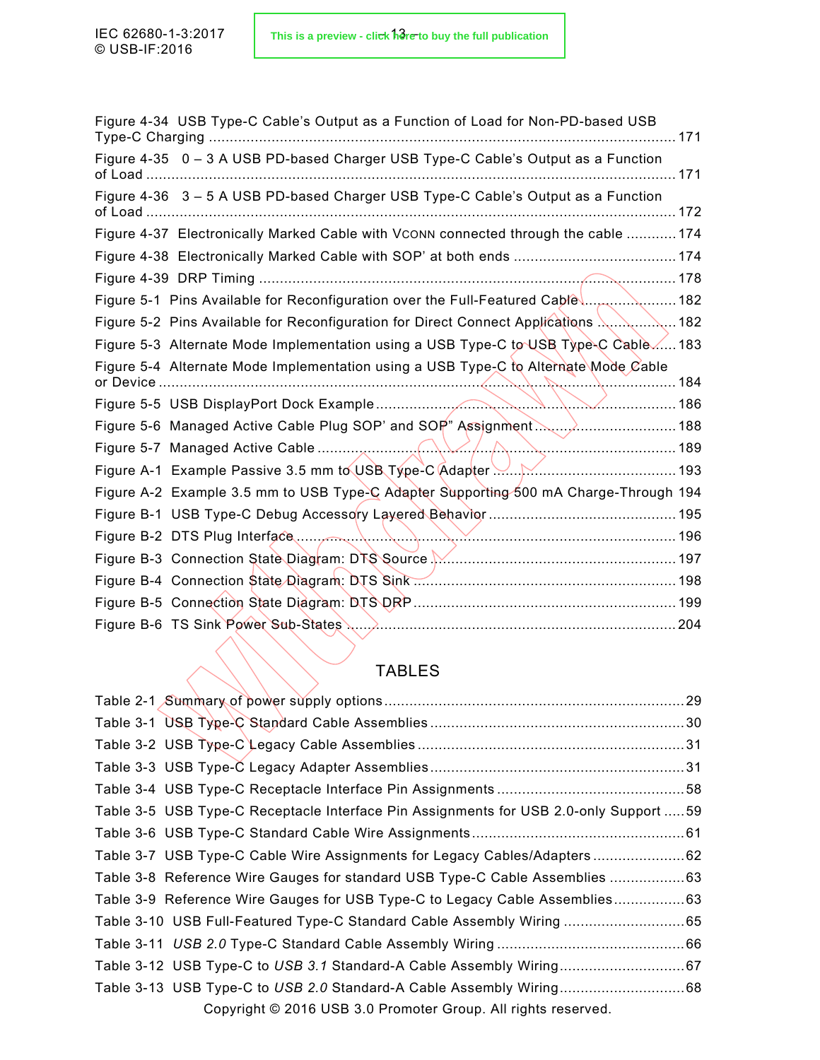|                                 | Figure 4-34 USB Type-C Cable's Output as a Function of Load for Non-PD-based USB     | 171 |
|---------------------------------|--------------------------------------------------------------------------------------|-----|
| of Load                         | Figure 4-35 0 - 3 A USB PD-based Charger USB Type-C Cable's Output as a Function     | 171 |
|                                 | Figure 4-36 3 - 5 A USB PD-based Charger USB Type-C Cable's Output as a Function     |     |
|                                 | Figure 4-37 Electronically Marked Cable with VCONN connected through the cable  174  |     |
|                                 |                                                                                      |     |
|                                 |                                                                                      |     |
|                                 | Figure 5-1 Pins Available for Reconfiguration over the Full-Featured Cable  182      |     |
|                                 | Figure 5-2 Pins Available for Reconfiguration for Direct Connect Applications        | 182 |
|                                 | Figure 5-3 Alternate Mode Implementation using a USB Type-C to USB Type-C Cable183   |     |
| or Device.                      | Figure 5-4 Alternate Mode Implementation using a USB Type-C to Alternate Mode Cable  | 184 |
|                                 | ✓・・・・・・・・・・・・・・・・・・186                                                               |     |
|                                 | Figure 5-6 Managed Active Cable Plug SOP' and SOP" Assignment                        |     |
| Figure 5-7 Managed Active Cable |                                                                                      |     |
|                                 | Figure A-1 Example Passive 3.5 mm to USB Type-C Adapter                              |     |
|                                 | Figure A-2 Example 3.5 mm to USB Type-C Adapter Supporting 500 mA Charge-Through 194 |     |
|                                 |                                                                                      |     |
|                                 |                                                                                      |     |
|                                 | Figure B-3 Connection State Diagram: DTS Source Manumermannenments 197               |     |
|                                 |                                                                                      |     |
|                                 |                                                                                      |     |
|                                 |                                                                                      |     |
|                                 |                                                                                      |     |

## TABLES

| Table 3-5 USB Type-C Receptacle Interface Pin Assignments for USB 2.0-only Support  59 |  |
|----------------------------------------------------------------------------------------|--|
|                                                                                        |  |
| Table 3-7 USB Type-C Cable Wire Assignments for Legacy Cables/Adapters 62              |  |
| Table 3-8 Reference Wire Gauges for standard USB Type-C Cable Assemblies 63            |  |
| Table 3-9 Reference Wire Gauges for USB Type-C to Legacy Cable Assemblies63            |  |
| Table 3-10 USB Full-Featured Type-C Standard Cable Assembly Wiring 65                  |  |
|                                                                                        |  |
|                                                                                        |  |
|                                                                                        |  |
| Copyright © 2016 USB 3.0 Promoter Group. All rights reserved.                          |  |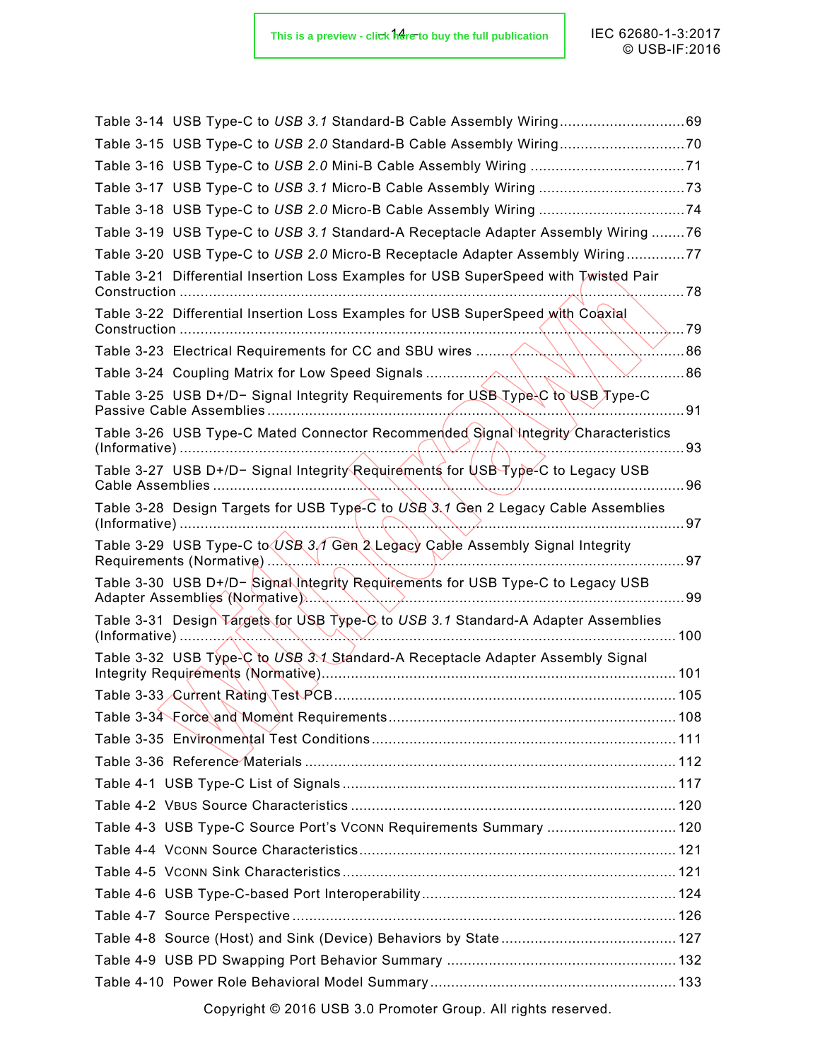| Table 3-14 USB Type-C to USB 3.1 Standard-B Cable Assembly Wiring69                                                  |       |
|----------------------------------------------------------------------------------------------------------------------|-------|
|                                                                                                                      |       |
|                                                                                                                      |       |
|                                                                                                                      |       |
|                                                                                                                      |       |
| Table 3-19 USB Type-C to USB 3.1 Standard-A Receptacle Adapter Assembly Wiring 76                                    |       |
| Table 3-20 USB Type-C to USB 2.0 Micro-B Receptacle Adapter Assembly Wiring77                                        |       |
| Table 3-21 Differential Insertion Loss Examples for USB SuperSpeed with Twisted Pair<br>Construction                 | . 78  |
| Table 3-22 Differential Insertion Loss Examples for USB SuperSpeed with Coaxial<br>Construction                      | . 79  |
|                                                                                                                      | 86    |
|                                                                                                                      | 86    |
| Table 3-25_USB D+/D− Signal Integrity Requirements for USB Type-C to USB Type-C                                      | . 91  |
| Table 3-26 USB Type-C Mated Connector Recommended Signal Integrity Characteristics                                   | 93    |
| Table 3-27 USB D+/D- Signal Integrity Requirements for USB Type-C to Legacy USB<br><b>Cable Assemblies</b>           | 96    |
| Table 3-28 Design Targets for USB Type-C to USB 3.1 Gen 2 Legacy Cable Assemblies<br>$(Informative)$                 | 97    |
| Table 3-29 USB Type-C to USB 3.1 Gen 2 Legacy Cable Assembly Signal Integrity<br>Requirements (Normative)            | 97    |
| Table 3-30 USB D+/D- Signal integrity Requirements for USB Type-C to Legacy USB<br>Adapter Assemblies (Normative).   | 99    |
| Table 3-31 Design Targets for USB Type-C to USB 3.1 Standard-A Adapter Assemblies<br>(Informative)                   | . 100 |
| Table 3-32 USB Type-C to USB 3.1 Standard-A Receptacle Adapter Assembly Signal<br>Integrity Requirements (Normative) |       |
| Table 3-33 Current Rating Test PCB                                                                                   | 105   |
|                                                                                                                      |       |
|                                                                                                                      |       |
|                                                                                                                      |       |
|                                                                                                                      |       |
|                                                                                                                      |       |
| Table 4-3 USB Type-C Source Port's Vconn Requirements Summary  120                                                   |       |
|                                                                                                                      |       |
|                                                                                                                      |       |
|                                                                                                                      |       |
|                                                                                                                      |       |
|                                                                                                                      |       |
|                                                                                                                      |       |
|                                                                                                                      |       |
|                                                                                                                      |       |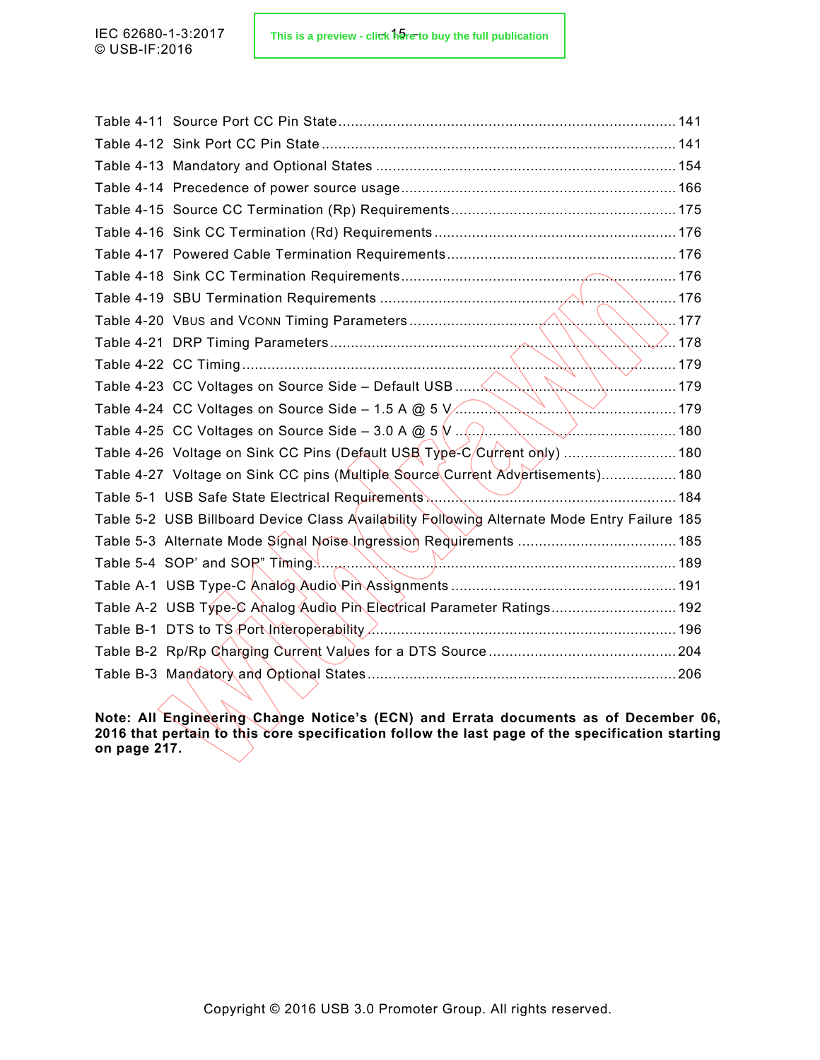| Table 4-24 CC Voltages on Source Side – 1.5 A @ 5 V                                                                                                                                                                                                                                                                                                                                                     |  |
|---------------------------------------------------------------------------------------------------------------------------------------------------------------------------------------------------------------------------------------------------------------------------------------------------------------------------------------------------------------------------------------------------------|--|
| Table 4-25 CC Voltages on Source Side – 3.0 A @ 5 $\sqrt{(1-\frac{1}{2}\sqrt{(1-\frac{1}{2}\sqrt{(1-\frac{1}{2}\sqrt{(1-\frac{1}{2}\sqrt{(1-\frac{1}{2}\sqrt{(1-\frac{1}{2}\sqrt{(1-\frac{1}{2}\sqrt{(1-\frac{1}{2}\sqrt{(1-\frac{1}{2}\sqrt{(1-\frac{1}{2}\sqrt{(1-\frac{1}{2}\sqrt{(1-\frac{1}{2}\sqrt{(1-\frac{1}{2}\sqrt{(1-\frac{1}{2}\sqrt{(1-\frac{1}{2}\sqrt{(1-\frac{1}{2}\sqrt{(1-\frac{1}{2$ |  |
| Table 4-26 Voltage on Sink CC Pins (Default USB Type-C/Current only)  180                                                                                                                                                                                                                                                                                                                               |  |
| Table 4-27 Voltage on Sink CC pins (Multiple Source Current Advertisements) 180                                                                                                                                                                                                                                                                                                                         |  |
|                                                                                                                                                                                                                                                                                                                                                                                                         |  |
| Table 5-2 USB Billboard Device Class Availability Following Alternate Mode Entry Failure 185                                                                                                                                                                                                                                                                                                            |  |
|                                                                                                                                                                                                                                                                                                                                                                                                         |  |
|                                                                                                                                                                                                                                                                                                                                                                                                         |  |
|                                                                                                                                                                                                                                                                                                                                                                                                         |  |
| Table A-2 USB Type-C Analog Audio Pin Electrical Parameter Ratings 192                                                                                                                                                                                                                                                                                                                                  |  |
|                                                                                                                                                                                                                                                                                                                                                                                                         |  |
|                                                                                                                                                                                                                                                                                                                                                                                                         |  |
|                                                                                                                                                                                                                                                                                                                                                                                                         |  |
|                                                                                                                                                                                                                                                                                                                                                                                                         |  |

**Note: All Engineering Change Notice's (ECN) and Errata documents as of December 06, 2016 that pertain to this core specification follow the last page of the specification starting on page 217.**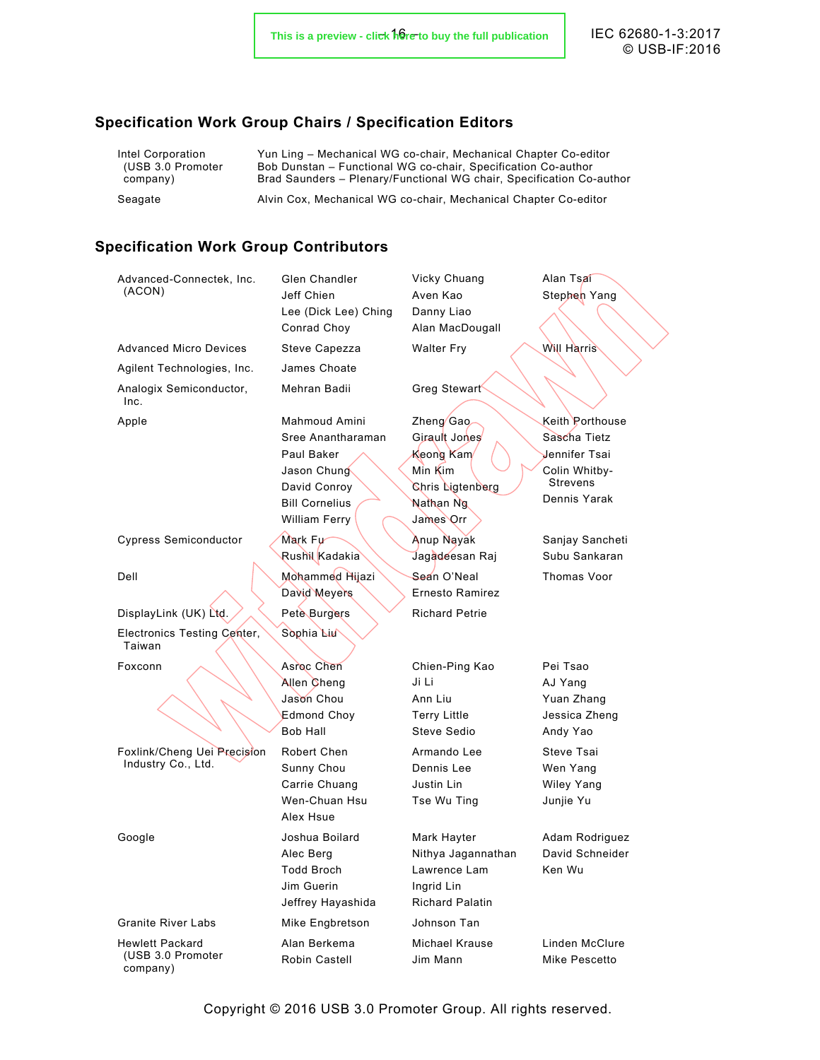© USB-IF:2016

## <span id="page-15-0"></span>**Specification Work Group Chairs / Specification Editors**

| Intel Corporation | Yun Ling – Mechanical WG co-chair, Mechanical Chapter Co-editor      |
|-------------------|----------------------------------------------------------------------|
| (USB 3.0 Promoter | Bob Dunstan – Functional WG co-chair. Specification Co-author        |
| company)          | Brad Saunders - Plenary/Functional WG chair, Specification Co-author |
| Seagate           | Alvin Cox, Mechanical WG co-chair, Mechanical Chapter Co-editor      |
|                   |                                                                      |

## <span id="page-15-1"></span>**Specification Work Group Contributors**

| Advanced-Connectek, Inc.<br>(ACON)    | <b>Glen Chandler</b><br>Jeff Chien<br>Lee (Dick Lee) Ching<br>Conrad Choy | Vicky Chuang<br>Aven Kao<br>Danny Liao<br>Alan MacDougall | Alan Tsai<br>Stephen Yang       |
|---------------------------------------|---------------------------------------------------------------------------|-----------------------------------------------------------|---------------------------------|
| <b>Advanced Micro Devices</b>         | Steve Capezza                                                             | <b>Walter Fry</b>                                         | <b>Will Harris</b>              |
| Agilent Technologies, Inc.            | James Choate                                                              |                                                           |                                 |
| Analogix Semiconductor,<br>Inc.       | Mehran Badii                                                              | Greg Stewart                                              |                                 |
| Apple                                 | Mahmoud Amini                                                             | Zheng Gao                                                 | Keith Porthouse                 |
|                                       | Sree Anantharaman                                                         | Girault Jones                                             | Sascha Tietz                    |
|                                       | Paul Baker                                                                | Keong Kam                                                 | Jennifer Tsai                   |
|                                       | Jason Chung                                                               | Min Kim                                                   | Colin Whitby-                   |
|                                       | David Conroy                                                              | Chris Ligtenberg                                          | <b>Strevens</b><br>Dennis Yarak |
|                                       | <b>Bill Cornelius</b>                                                     | Nathan Ng                                                 |                                 |
|                                       | William Ferry                                                             | James Orr                                                 |                                 |
| <b>Cypress Semiconductor</b>          | Mark Fu                                                                   | Anup Nayak                                                | Sanjay Sancheti                 |
|                                       | Rushil Kadakia                                                            | Jagadeesan Raj                                            | Subu Sankaran                   |
| Dell                                  | Mohammed Hijazi                                                           | Sean O'Neal                                               | Thomas Voor                     |
|                                       | David Meyers                                                              | Ernesto Ramirez                                           |                                 |
| DisplayLink (UK) Ltd.                 | Pete Burgers                                                              | <b>Richard Petrie</b>                                     |                                 |
| Electronics Testing Center,<br>Taiwan | Sophia Liu                                                                |                                                           |                                 |
| Foxconn                               | Asroc Chen                                                                | Chien-Ping Kao                                            | Pei Tsao                        |
|                                       | Allen Cheng                                                               | Ji Li                                                     | AJ Yang                         |
|                                       | Jason Chou                                                                | Ann Liu                                                   | Yuan Zhang                      |
|                                       | <b>Edmond Choy</b>                                                        | <b>Terry Little</b>                                       | Jessica Zheng                   |
|                                       | Bob Hall                                                                  | Steve Sedio                                               | Andy Yao                        |
| Foxlink/Cheng Uei Precision           | Robert Chen                                                               | Armando Lee                                               | Steve Tsai                      |
| Industry Co., Ltd.                    | Sunny Chou                                                                | Dennis Lee                                                | Wen Yang                        |
|                                       | Carrie Chuang                                                             | Justin Lin                                                | <b>Wiley Yang</b>               |
|                                       | Wen-Chuan Hsu                                                             | Tse Wu Ting                                               | Junjie Yu                       |
|                                       | Alex Hsue                                                                 |                                                           |                                 |
| Google                                | Joshua Boilard                                                            | Mark Hayter                                               | Adam Rodriguez                  |
|                                       | Alec Berg                                                                 | Nithya Jagannathan                                        | David Schneider                 |
|                                       | Todd Broch                                                                | Lawrence Lam                                              | Ken Wu                          |
|                                       | Jim Guerin                                                                | Ingrid Lin                                                |                                 |
|                                       | Jeffrey Hayashida                                                         | <b>Richard Palatin</b>                                    |                                 |
| <b>Granite River Labs</b>             | Mike Engbretson                                                           | Johnson Tan                                               |                                 |
| <b>Hewlett Packard</b>                | Alan Berkema                                                              | Michael Krause                                            | Linden McClure                  |
| (USB 3.0 Promoter<br>company)         | Robin Castell                                                             | Jim Mann                                                  | Mike Pescetto                   |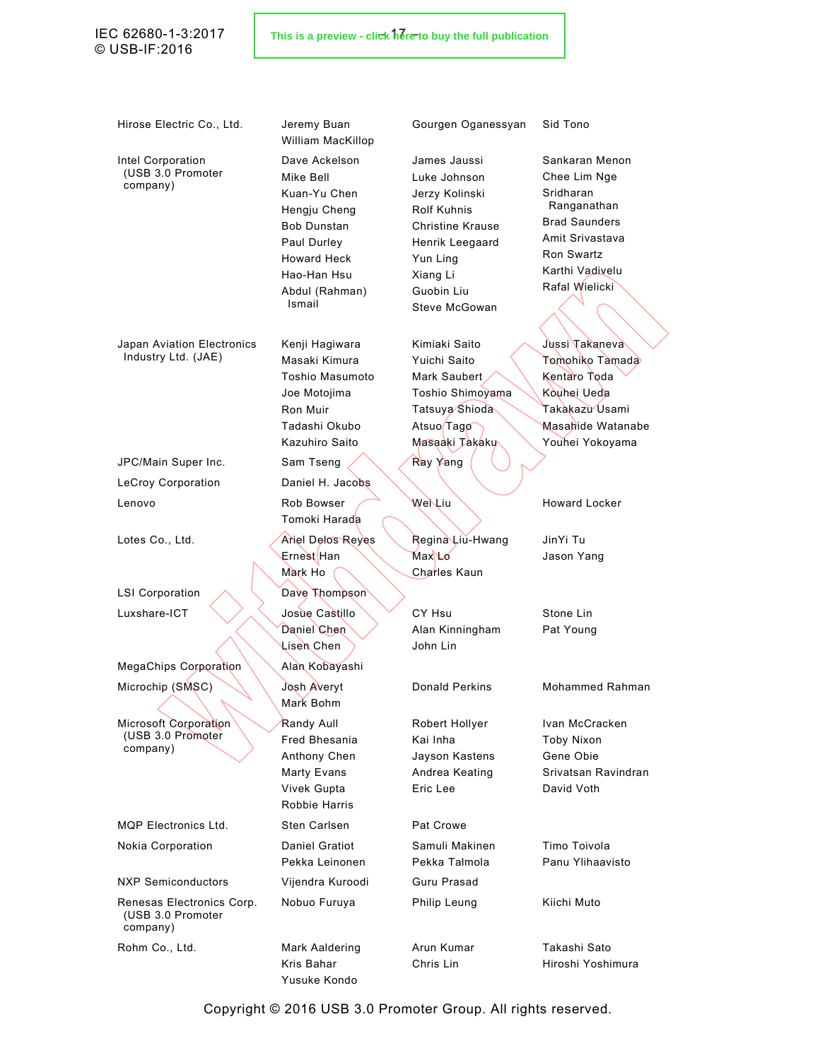## © USB-IF:2016

Hirose Electric Co., Ltd. Jeremy Buan

Intel Corporation (USB 3.0 Promoter company)

Japan Aviation Electronics Industry Ltd. (JAE)

LeCroy Corporation **Daniel H. Jacobs** Lenovo Rob Bowser

Luxshare-ICT \/ / Josue Castillo

MegaChips Corporation Alan Kobayashi Microchip (SMSC) \\\\ Josh Averyt

Microsoft Corporation (USB 3.0 Promoter company)

MQP Electronics Ltd. Sten Carlsen Pat Crowe

Renesas Electronics Corp. (USB 3.0 Promoter company)

Rohm Co., Ltd. Mark Aaldering

William MacKillop Dave Ackelson Mike Bell Kuan-Yu Chen Hengju Cheng Bob Dunstan Paul Durley Howard Heck Hao-Han Hsu Abdul (Rahman) Ismail

Kenji Hagiwara Masaki Kimura Toshio Masumoto Joe Motojima Ron Muir Tadashi Okubo Kazuhiro Saito JPC/Main Super Inc. Sam Tseng XXX Ray Yang Tomoki Harada Lotes Co., Ltd. **Aniel Delos Reyes** Ernest Han Mark Ho LSI Corporation A Dave Thompson Daniel Chen Lisen Chen Mark Bohm Randy Aull Fred Bhesania Anthony Chen Marty Evans Vivek Gupta Robbie Harris Nokia Corporation **Daniel Gratiot** Pekka Leinonen NXP Semiconductors Vijendra Kuroodi Guru Prasad Nobuo Furuya **Philip Leung** Kiichi Muto

> Kris Bahar Yusuke Kondo

Arun Kumar Chris Lin

Gourgen Oganessyan Sid Tono

James Jaussi Luke Johnson Jerzy Kolinski Rolf Kuhnis Christine Krause Henrik Leegaard Yun Ling Xiang Li Guobin Liu Steve McGowan

Kimiaki Saito Yuichi Saito Mark Saubert Toshio Shimoyama Tatsuya Shioda Atsuo Tago Masaaki Takaku

Regina Liu-Hwang Max **L**o Charles Kaun

CY Hsu Alan Kinningham John Lin

Robert Hollyer Kai Inha Jayson Kastens Andrea Keating Eric Lee

Samuli Makinen Pekka Talmola

Sankaran Menon Chee Lim Nge Sridharan Ranganathan Brad Saunders Amit Srivastava Ron Swartz Karthi Vadivelu Rafal Wielicki

Jussi Takaneva Tomohiko Tamada Kentaro Toda Kouhei Ueda Takakazu Usami Masahide Watanabe Youhei Yokoyama

Wei Liu Howard Locker

JinYi Tu Jason Yang

Stone Lin Pat Young

Donald Perkins Mohammed Rahman

Ivan McCracken Toby Nixon Gene Obie Srivatsan Ravindran David Voth

Timo Toivola Panu Ylihaavisto

Takashi Sato Hiroshi Yoshimura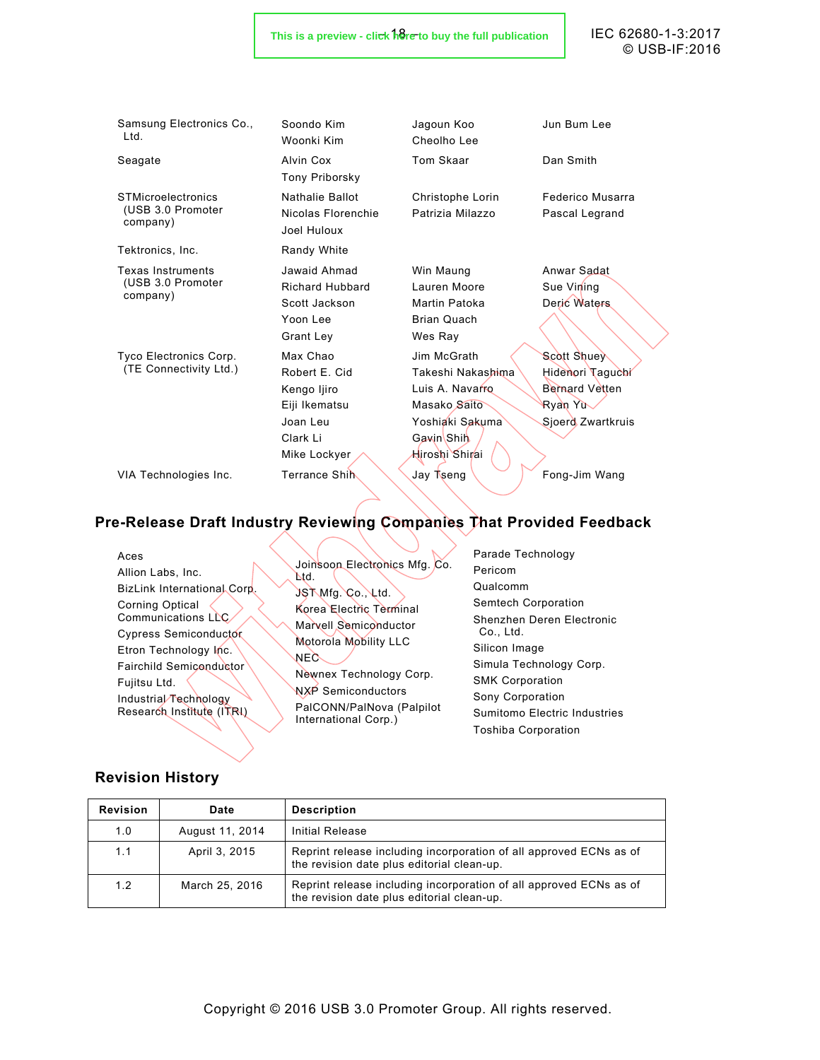#### This is a preview - cli<del>c</del>k here to buy the full publication **Fig. 1** FC 62680-1-3:2017

© USB-IF:2016

| Samsung Electronics Co.,<br>Ltd.                           | Soondo Kim<br>Woonki Kim                                                                          | Jagoun Koo<br>Cheolho Lee                                                                                                           | Jun Bum Lee                                                                                     |
|------------------------------------------------------------|---------------------------------------------------------------------------------------------------|-------------------------------------------------------------------------------------------------------------------------------------|-------------------------------------------------------------------------------------------------|
| Seagate                                                    | Alvin Cox<br><b>Tony Priborsky</b>                                                                | <b>Tom Skaar</b>                                                                                                                    | Dan Smith                                                                                       |
| <b>STMicroelectronics</b><br>(USB 3.0 Promoter<br>company) | <b>Nathalie Ballot</b><br>Nicolas Florenchie<br>Joel Huloux                                       | Christophe Lorin<br>Patrizia Milazzo                                                                                                | Federico Musarra<br>Pascal Legrand                                                              |
| Tektronics, Inc.                                           | Randy White                                                                                       |                                                                                                                                     |                                                                                                 |
| <b>Texas Instruments</b><br>(USB 3.0 Promoter<br>company)  | Jawaid Ahmad<br><b>Richard Hubbard</b><br>Scott Jackson<br>Yoon Lee<br>Grant Ley                  | Win Maung<br>Lauren Moore<br>Martin Patoka<br><b>Brian Quach</b><br>Wes Ray                                                         | Anwar Sadat<br>Sue Vining<br>Deric Waters                                                       |
| Tyco Electronics Corp.<br>(TE Connectivity Ltd.)           | Max Chao<br>Robert E. Cid<br>Kengo ljiro<br>Eiji Ikematsu<br>Joan Leu<br>Clark Li<br>Mike Lockyer | Jim McGrath<br>Takeshi Nakashima<br>Luis A. Navarro<br>Masako Saito<br>Yoshiaki Sakuma<br>Gavin Shih<br><del>H</del> iroshi Shir⁄ai | <b>Scott Shuey</b><br>Hidenori Taguchi<br><b>Bernard Vetten</b><br>Ryan Yu<br>Sjoerd Zwartkruis |
| VIA Technologies Inc.                                      | Terrance Shih                                                                                     | Jay Tseng                                                                                                                           | Fong-Jim Wang                                                                                   |

## <span id="page-17-0"></span>**Pre-Release Draft Industry Reviewing Companies That Provided Feedback**

| Aces                         | Joinsoon Electronics Mfg. Co. | Parade Techr       |
|------------------------------|-------------------------------|--------------------|
| Allion Labs, Inc.            | Nd.                           | Pericom            |
| BizLink International Corp.  | JSTMfg Co., Ltd.              | Qualcomm           |
| <b>Corning Optical</b>       | Korea Electric Terminal       | Semtech Corp       |
| Communications LLC           | Marvell Semiconductor         | Shenzhen De        |
| <b>Cypress Semiconductor</b> | Motorola Mobility LLC         | Co., Ltd.          |
| Etron Technology Inc.        | NEC                           | Silicon Image      |
| Fairchild Semiconductor      | Newnex Technology Corp.       | Simula Techn       |
| Fujitsu Ltd.                 | NXP Semiconductors            | <b>SMK Corpora</b> |
| Industrial Technology        | PalCONN/PalNova (Palpilot     | Sony Corpora       |
| Research Institute (ITRI)    | International Corp.)          | Sumitomo Ele       |
|                              |                               | Toshiba Corp       |

nology poration eren Electronic Silicon Image ology Corp. ation ation ectric Industries oration

## <span id="page-17-1"></span>**Revision History**

| <b>Revision</b> | Date            | <b>Description</b>                                                                                               |
|-----------------|-----------------|------------------------------------------------------------------------------------------------------------------|
| 1.0             | August 11, 2014 | Initial Release                                                                                                  |
| 1.1             | April 3, 2015   | Reprint release including incorporation of all approved ECNs as of<br>the revision date plus editorial clean-up. |
| 1.2             | March 25, 2016  | Reprint release including incorporation of all approved ECNs as of<br>the revision date plus editorial clean-up. |